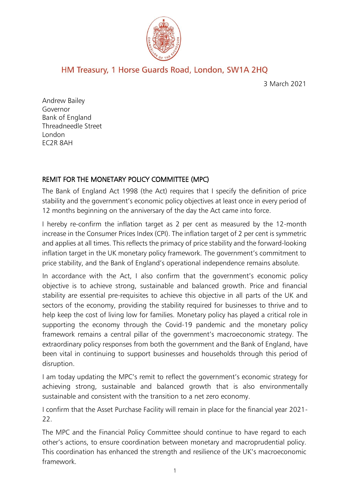

# HM Treasury, 1 Horse Guards Road, London, SW1A 2HQ

3 March 2021

Andrew Bailey Governor Bank of England Threadneedle Street London EC2R 8AH

## REMIT FOR THE MONETARY POLICY COMMITTEE (MPC)

The Bank of England Act 1998 (the Act) requires that I specify the definition of price stability and the government's economic policy objectives at least once in every period of 12 months beginning on the anniversary of the day the Act came into force.

I hereby re-confirm the inflation target as 2 per cent as measured by the 12-month increase in the Consumer Prices Index (CPI). The inflation target of 2 per cent is symmetric and applies at all times. This reflects the primacy of price stability and the forward-looking inflation target in the UK monetary policy framework. The government's commitment to price stability, and the Bank of England's operational independence remains absolute.

In accordance with the Act, I also confirm that the government's economic policy objective is to achieve strong, sustainable and balanced growth. Price and financial stability are essential pre-requisites to achieve this objective in all parts of the UK and sectors of the economy, providing the stability required for businesses to thrive and to help keep the cost of living low for families. Monetary policy has played a critical role in supporting the economy through the Covid-19 pandemic and the monetary policy framework remains a central pillar of the government's macroeconomic strategy. The extraordinary policy responses from both the government and the Bank of England, have been vital in continuing to support businesses and households through this period of disruption.

I am today updating the MPC's remit to reflect the government's economic strategy for achieving strong, sustainable and balanced growth that is also environmentally sustainable and consistent with the transition to a net zero economy.

I confirm that the Asset Purchase Facility will remain in place for the financial year 2021- 22.

The MPC and the Financial Policy Committee should continue to have regard to each other's actions, to ensure coordination between monetary and macroprudential policy. This coordination has enhanced the strength and resilience of the UK's macroeconomic framework.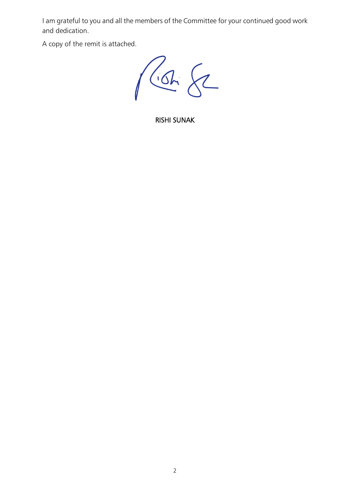I am grateful to you and all the members of the Committee for your continued good work and dedication.

A copy of the remit is attached.

Proh 82

RISHI SUNAK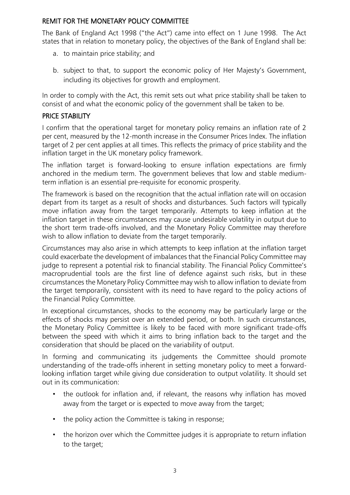# REMIT FOR THE MONETARY POLICY COMMITTEE

The Bank of England Act 1998 ("the Act") came into effect on 1 June 1998. The Act states that in relation to monetary policy, the objectives of the Bank of England shall be:

- a. to maintain price stability; and
- b. subject to that, to support the economic policy of Her Majesty's Government, including its objectives for growth and employment.

In order to comply with the Act, this remit sets out what price stability shall be taken to consist of and what the economic policy of the government shall be taken to be.

#### PRICE STABILITY

I confirm that the operational target for monetary policy remains an inflation rate of 2 per cent, measured by the 12-month increase in the Consumer Prices Index. The inflation target of 2 per cent applies at all times. This reflects the primacy of price stability and the inflation target in the UK monetary policy framework.

The inflation target is forward-looking to ensure inflation expectations are firmly anchored in the medium term. The government believes that low and stable mediumterm inflation is an essential pre-requisite for economic prosperity.

The framework is based on the recognition that the actual inflation rate will on occasion depart from its target as a result of shocks and disturbances. Such factors will typically move inflation away from the target temporarily. Attempts to keep inflation at the inflation target in these circumstances may cause undesirable volatility in output due to the short term trade-offs involved, and the Monetary Policy Committee may therefore wish to allow inflation to deviate from the target temporarily.

Circumstances may also arise in which attempts to keep inflation at the inflation target could exacerbate the development of imbalances that the Financial Policy Committee may judge to represent a potential risk to financial stability. The Financial Policy Committee's macroprudential tools are the first line of defence against such risks, but in these circumstances the Monetary Policy Committee may wish to allow inflation to deviate from the target temporarily, consistent with its need to have regard to the policy actions of the Financial Policy Committee.

In exceptional circumstances, shocks to the economy may be particularly large or the effects of shocks may persist over an extended period, or both. In such circumstances, the Monetary Policy Committee is likely to be faced with more significant trade-offs between the speed with which it aims to bring inflation back to the target and the consideration that should be placed on the variability of output.

In forming and communicating its judgements the Committee should promote understanding of the trade-offs inherent in setting monetary policy to meet a forwardlooking inflation target while giving due consideration to output volatility. It should set out in its communication:

- the outlook for inflation and, if relevant, the reasons why inflation has moved away from the target or is expected to move away from the target;
- the policy action the Committee is taking in response;
- the horizon over which the Committee judges it is appropriate to return inflation to the target;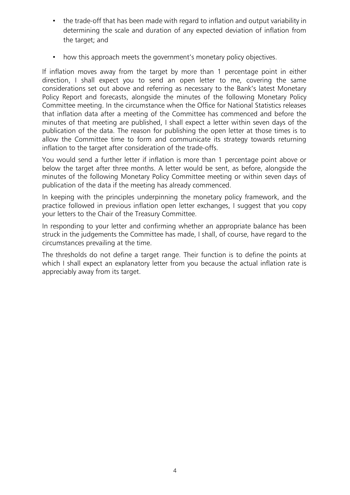- the trade-off that has been made with regard to inflation and output variability in determining the scale and duration of any expected deviation of inflation from the target; and
- how this approach meets the government's monetary policy objectives.

If inflation moves away from the target by more than 1 percentage point in either direction, I shall expect you to send an open letter to me, covering the same considerations set out above and referring as necessary to the Bank's latest Monetary Policy Report and forecasts, alongside the minutes of the following Monetary Policy Committee meeting. In the circumstance when the Office for National Statistics releases that inflation data after a meeting of the Committee has commenced and before the minutes of that meeting are published, I shall expect a letter within seven days of the publication of the data. The reason for publishing the open letter at those times is to allow the Committee time to form and communicate its strategy towards returning inflation to the target after consideration of the trade-offs.

You would send a further letter if inflation is more than 1 percentage point above or below the target after three months. A letter would be sent, as before, alongside the minutes of the following Monetary Policy Committee meeting or within seven days of publication of the data if the meeting has already commenced.

In keeping with the principles underpinning the monetary policy framework, and the practice followed in previous inflation open letter exchanges, I suggest that you copy your letters to the Chair of the Treasury Committee.

In responding to your letter and confirming whether an appropriate balance has been struck in the judgements the Committee has made, I shall, of course, have regard to the circumstances prevailing at the time.

The thresholds do not define a target range. Their function is to define the points at which I shall expect an explanatory letter from you because the actual inflation rate is appreciably away from its target.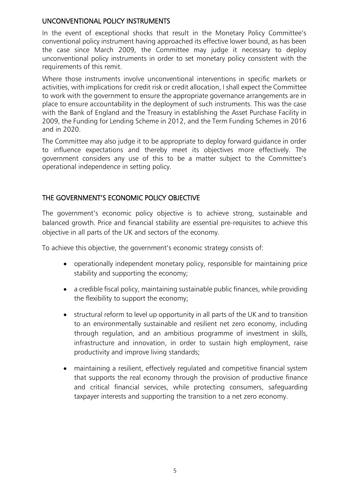## UNCONVENTIONAL POLICY INSTRUMENTS

In the event of exceptional shocks that result in the Monetary Policy Committee's conventional policy instrument having approached its effective lower bound, as has been the case since March 2009, the Committee may judge it necessary to deploy unconventional policy instruments in order to set monetary policy consistent with the requirements of this remit.

Where those instruments involve unconventional interventions in specific markets or activities, with implications for credit risk or credit allocation, I shall expect the Committee to work with the government to ensure the appropriate governance arrangements are in place to ensure accountability in the deployment of such instruments. This was the case with the Bank of England and the Treasury in establishing the Asset Purchase Facility in 2009, the Funding for Lending Scheme in 2012, and the Term Funding Schemes in 2016 and in 2020.

The Committee may also judge it to be appropriate to deploy forward guidance in order to influence expectations and thereby meet its objectives more effectively. The government considers any use of this to be a matter subject to the Committee's operational independence in setting policy.

## THE GOVERNMENT'S ECONOMIC POLICY OBJECTIVE

The government's economic policy objective is to achieve strong, sustainable and balanced growth. Price and financial stability are essential pre-requisites to achieve this objective in all parts of the UK and sectors of the economy.

To achieve this objective, the government's economic strategy consists of:

- operationally independent monetary policy, responsible for maintaining price stability and supporting the economy;
- a credible fiscal policy, maintaining sustainable public finances, while providing the flexibility to support the economy;
- structural reform to level up opportunity in all parts of the UK and to transition to an environmentally sustainable and resilient net zero economy, including through regulation, and an ambitious programme of investment in skills, infrastructure and innovation, in order to sustain high employment, raise productivity and improve living standards;
- maintaining a resilient, effectively regulated and competitive financial system that supports the real economy through the provision of productive finance and critical financial services, while protecting consumers, safeguarding taxpayer interests and supporting the transition to a net zero economy.